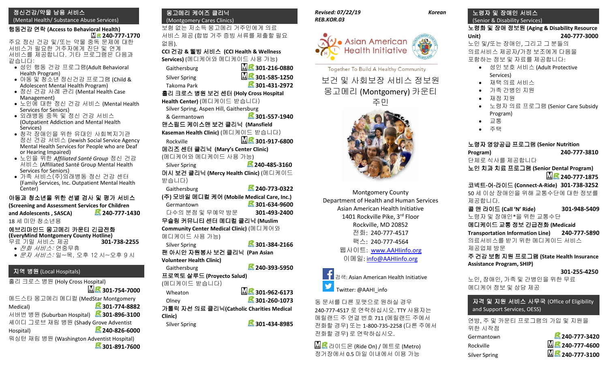# 정신건강/약물 남용 서비스

(Mental Health/ Substance Abuse Services)

#### 행동건강 연락 **(Access to Behavioral Health) 240-777-1770**

주요 정신 건강 및/또는 약물 중독 문제에 대한 서비스가 필요한 거주자에게 진단 및 연계 서비스를 제공합니다. 기타 프로그램은 다음과 같습니다:

- 성인 행동 건강 프로그램(Adult Behavioral Health Program)
- 아동 및 청소년 정신건강 프로그램 (Child & Adolescent Mental Health Program)
- 정신 건강 사례 관리 (Mental Health Case Management)
- 노인에 대한 정신 건강 서비스 (Mental Health Services for Seniors)
- 외래병동 중독 및 정신 건강 서비스 (Outpatient Addiction and Mental Health Services)
- 청각 장애인을 위한 유대인 사회복지기관 정신 건강 서비스 (Jewish Social Service Agency Mental Health Services for People who are Deaf or Hearing Impaired)
- 노인을 위한 *Affiliated Santé Group* 정신 건강 서비스 (Affiliated Santé Group Mental Health Services for Seniors)
- 가족 서비스(주)외래병동 정신 건강 센터 (Family Services, Inc. Outpatient Mental Health Center)

# 아동과 청소년을 위한 선별 검사 및 평가 서비스

**(Screening and Assessment Services for Children and Adolescents , SASCA) 240-777-1430** 18 세 미만 청소년용

# 에브리마인드 몽고메리 카운티 긴급전화

**(EveryMind Montgomery County Hotline)** 무료 기밀 서비스 제공 **301-738-2255**

- 전화 서비스: 연중무휴
- 문자 서비스: 일~목, 오후 12 시~오후 9 시

# 지역 병원 (Local Hospitals)

홀리 크로스 병원 (Holy Cross Hospital) **MR**<sub>301-754-7000</sub>

메드스타 몽고메리 메디컬 (MedStar Montgomery Medical) **301-774-8882**

서버번 병원 (Suburban Hospital) **301-896-3100** 셰이디 그로브 재림 병원 (Shady Grove Adventist

# Hospital) **240-826-6000**

워싱턴 재림 병원 (Washington Adventist Hospital)

**301-891-7600**

#### 몽고메리 케어즈 클리닉 (Montgomery Cares Clinics)

보험 없는 저소득 몽고메리 거주민에게 의료 서비스 제공 (합법 거주 증빙 서류를 제출할 필요 없음).

**CCI** 건강 **&** 웰빙 서비스 **(CCI Health & Wellness Services)** (메디케어와 메디케이드 사용 가능) Gaithersburg **301-216-0880** Silver Spring **301-585-1250** Takoma Park **301-431-2972** 홀리 크로스 병원 보건 센터 **(Holy Cross Hospital Health Center)** (메디케이드 받습니다)

Silver Spring, Aspen Hill, Gaithersburg

& Germantown **301-557-1940** 맨스필드 케이스맨 보건 클리닉 **(Mansfield** 

**Kaseman Health Clinic)** (메디케이드 받습니다) Rockville **301-917-6800**

메리즈 센터 클리닉 **(Mary's Center Clinic)** 

(메디케어와 메디케이드 사용 가능) Silver Spring **240-485-3160** 머시 보건 클리닉 **(Mercy Health Clinic)** (메디케이드

받습니다)

Gaithersburg **240-773-0322 (**주**)** 모바일 메디컬 케어 **(Mobile Medical Care, Inc.)** Germantown **301-634-9600**  다수의 분점 및 무예약 방문 **301-493-2400**

무슬림 커뮤니티 센터 메디컬 클리닉 **(Muslim Community Center Medical Clinic)** (메디케어와 메디케이드 사용 가능)

Silver Spring **301-384-2166** 팬 아시안 자원봉사 보건 클리닉 **(Pan Asian** 

**Volunteer Health Clinic)** Gaithersburg **240-393-5950**

프로옉토 살루드 **(Proyecto Salud)**  (메디케이드 받습니다)

Wheaton **301-962-6173** Olney **301-260-1073**

가톨릭 자선 의료 클리닉**(Catholic Charities Medical Clinic)**

Silver Spring **301-434-8985**

#### *Revised: 07/22/19 Korean REB.KOR.03*



#### Together To Build A Healthy Community

보건 및 사회보장 서비스 정보원 몽고메리 (Montgomery) 카운티



Montgomery County Department of Health and Human Services Asian American Health Initiative 1401 Rockville Pike, 3rd Floor Rockville, MD 20852 전화: 240-777-4517 팩스: 240-777-4564 웹사이트: [www.AAHIinfo.org](http://www.aahiinfo.org/) 이메일: [info@AAHIinfo.org](mailto:info@AAHIinfo.org)

검색: Asian American Health Initiative Twitter: @AAHI\_info

동 문서를 다른 포맷으로 원하실 경우 240-777-4517 로 연락하십시오. TTY 사용자는 메릴랜드 주 연결 번호 711 (메릴랜드 주에서 전화할 경우) 또는 1-800-735-2258 (다른 주에서 전화할 경우) 로 연락하십시오.

 $\mathbf{N} \leq \mathbf{C}$ 라이드온 (Ride On) / 메트로 (Metro) 정거장에서 0.5 마일 이내에서 이용 가능

#### 노령자 및 장애인 서비스 (Senior & Disability Services)

### 노령화 및 장애 정보원 **(Aging & Disability Resource Unit) 240-777-3000**

노인 및/또는 장애인, 그리고 그 분들의 의료서비스 제공자/가정 보조에게 다음을 포함하는 정보 및 자료를 제공합니다:

- 성인 보호 서비스 (Adult Protective Services)
- 재택 의료 서비스
- 가족 간병인 지원
- 재정 지원
- 노령자 의료 프로그램 (Senior Care Subsidy Program)
- 교통
- 주택

# 노령자 영양공급 프로그램 **(Senior Nutrition**

**Program) 240-777-3810** 단체로 식사를 제공합니다

노인 치과 치료 프로그램 **(Senior Dental Program) 240-777-1875** 

코넥트**-**어**-**라이드 **(Connect-A-Ride) 301-738-3252** 50 세 이상 장애인을 위해 교통수단에 대한 정보를 제공합니다.

콜 앤 라이드 **(Call 'N' Ride) 301-948-5409** 노령자 및 장애인\*을 위한 교통수단

메디케이드 교통 정보 긴급전화 **(Medicaid** 

**Transportation Information Line) 240-777-5890** 의료서비스를 받기 위한 메디케이드 서비스 제공업체 방문

주 건강 보험 지원 프로그램 **(State Health Insurance Assistance Program, SHIP)**

#### **301-255-4250**

노인, 장애인, 가족 및 간병인을 위한 무료 메디케어 정보 및 상담 제공

# 자격 및 지원 서비스 사무국 (Office of Eligibility and Support Services, OESS)

연방, 주 및 카운티 프로그램의 가입 및 지원을 위한 시작점 Germantown **240-777-3420** Rockville **240-777-4600** Silver Spring **240-777-3100**